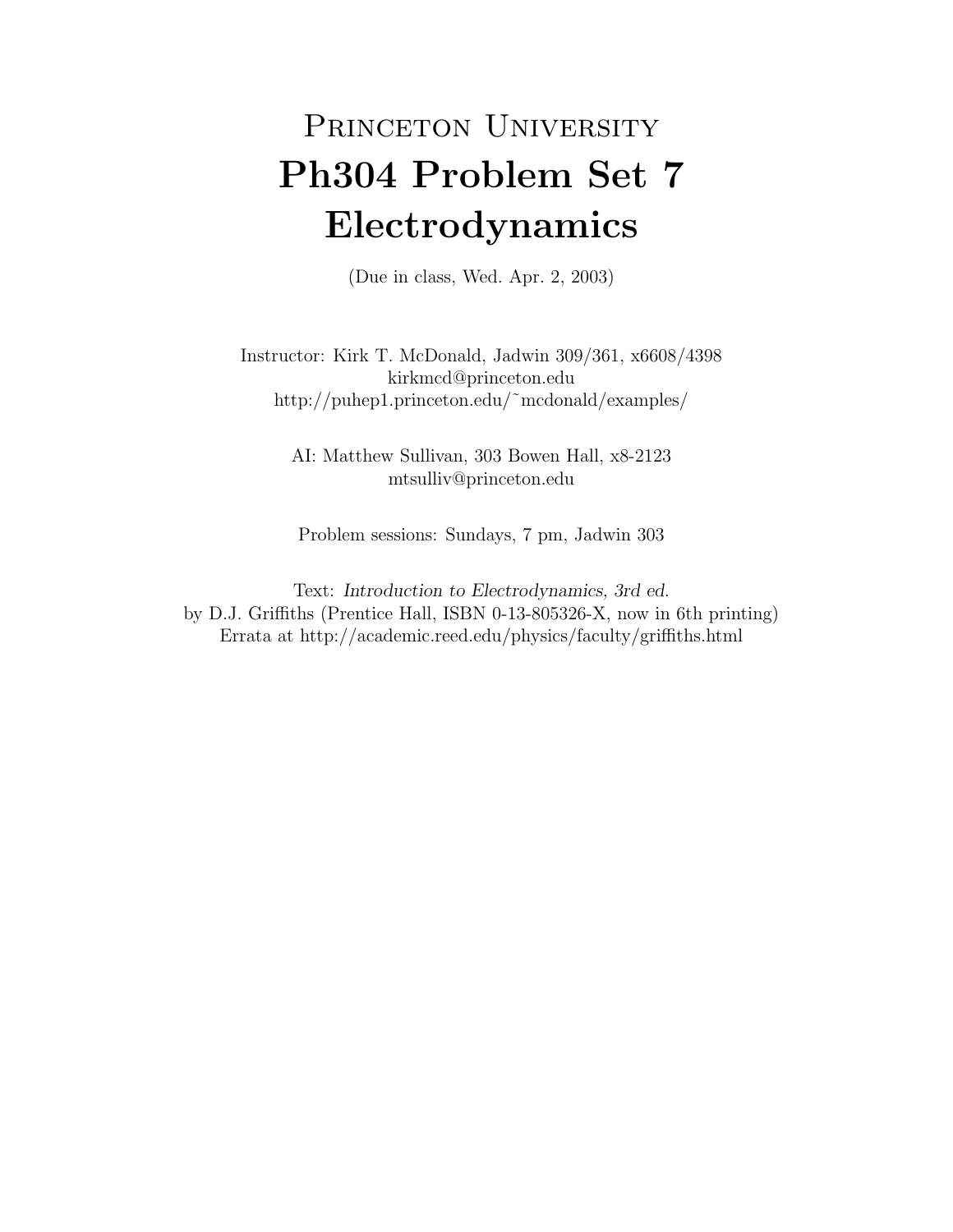## PRINCETON UNIVERSITY Ph304 Problem Set 7 Electrodynamics

(Due in class, Wed. Apr. 2, 2003)

Instructor: Kirk T. McDonald, Jadwin 309/361, x6608/4398 kirkmcd@princeton.edu http://puhep1.princeton.edu/˜mcdonald/examples/

> AI: Matthew Sullivan, 303 Bowen Hall, x8-2123 mtsulliv@princeton.edu

Problem sessions: Sundays, 7 pm, Jadwin 303

Text: Introduction to Electrodynamics, 3rd ed. by D.J. Griffiths (Prentice Hall, ISBN 0-13-805326-X, now in 6th printing) Errata at http://academic.reed.edu/physics/faculty/griffiths.html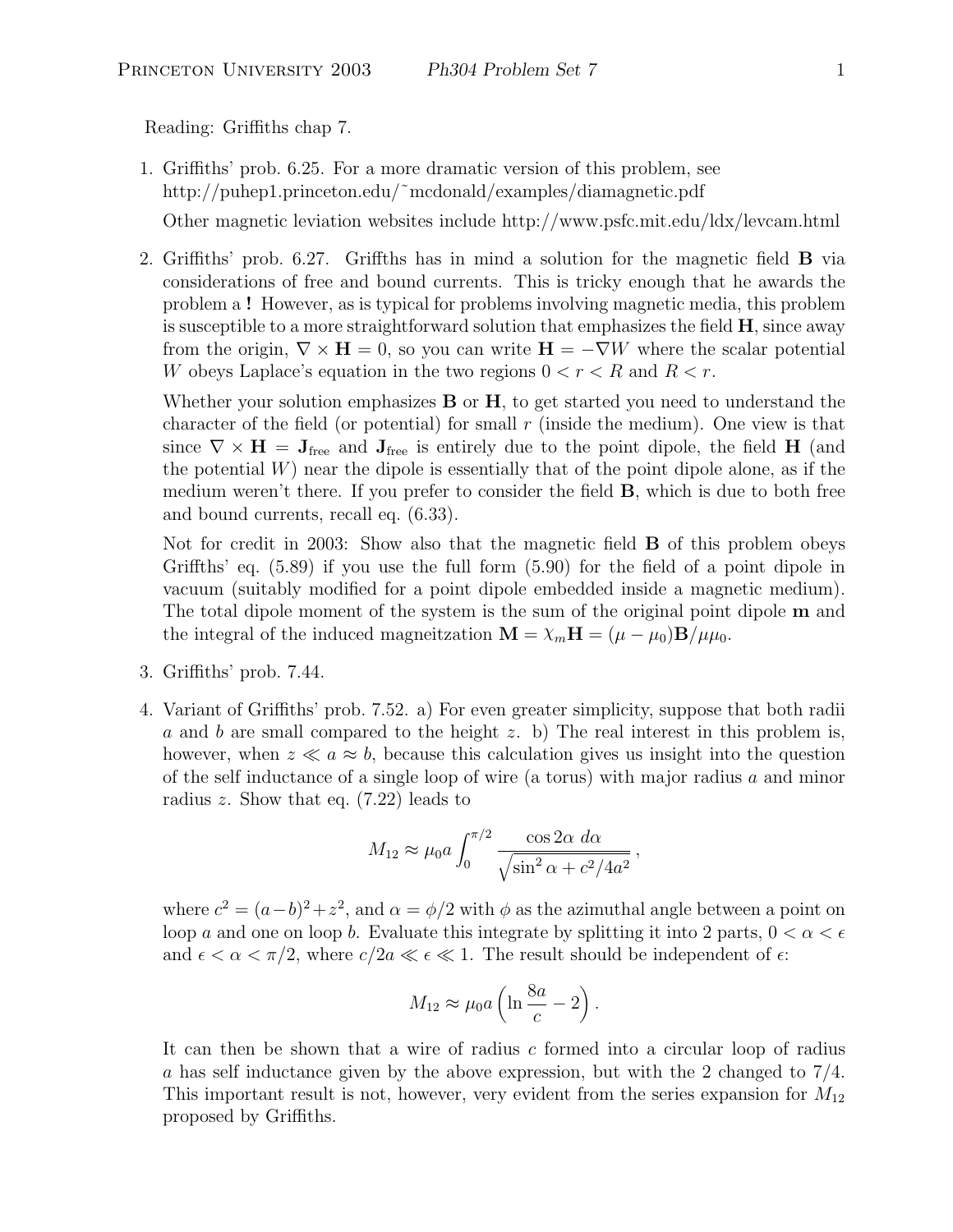Reading: Griffiths chap 7.

- 1. Griffiths' prob. 6.25. For a more dramatic version of this problem, see http://puhep1.princeton.edu/~mcdonald/examples/diamagnetic.pdf Other magnetic leviation websites include http://www.psfc.mit.edu/ldx/levcam.html
- 2. Griffiths' prob. 6.27. Griffths has in mind a solution for the magnetic field B via considerations of free and bound currents. This is tricky enough that he awards the problem a ! However, as is typical for problems involving magnetic media, this problem is susceptible to a more straightforward solution that emphasizes the field  $H$ , since away from the origin,  $\nabla \times \mathbf{H} = 0$ , so you can write  $\mathbf{H} = -\nabla W$  where the scalar potential W obeys Laplace's equation in the two regions  $0 < r < R$  and  $R < r$ .

Whether your solution emphasizes  $\bf{B}$  or  $\bf{H}$ , to get started you need to understand the character of the field (or potential) for small  $r$  (inside the medium). One view is that since  $\nabla \times \mathbf{H} = \mathbf{J}_{\text{free}}$  and  $\mathbf{J}_{\text{free}}$  is entirely due to the point dipole, the field **H** (and the potential  $W$ ) near the dipole is essentially that of the point dipole alone, as if the medium weren't there. If you prefer to consider the field B, which is due to both free and bound currents, recall eq. (6.33).

Not for credit in 2003: Show also that the magnetic field B of this problem obeys Griffths' eq. (5.89) if you use the full form (5.90) for the field of a point dipole in vacuum (suitably modified for a point dipole embedded inside a magnetic medium). The total dipole moment of the system is the sum of the original point dipole **m** and the integral of the induced magnetization  $\mathbf{M} = \chi_m \mathbf{H} = (\mu - \mu_0) \mathbf{B}/\mu \mu_0$ .

- 3. Griffiths' prob. 7.44.
- 4. Variant of Griffiths' prob. 7.52. a) For even greater simplicity, suppose that both radii a and b are small compared to the height z. b) The real interest in this problem is, however, when  $z \ll a \approx b$ , because this calculation gives us insight into the question of the self inductance of a single loop of wire (a torus) with major radius  $a$  and minor radius z. Show that eq. (7.22) leads to

$$
M_{12} \approx \mu_0 a \int_0^{\pi/2} \frac{\cos 2\alpha \, d\alpha}{\sqrt{\sin^2 \alpha + c^2/4a^2}},
$$

where  $c^2 = (a-b)^2 + z^2$ , and  $\alpha = \phi/2$  with  $\phi$  as the azimuthal angle between a point on loop a and one on loop b. Evaluate this integrate by splitting it into 2 parts,  $0 < \alpha < \epsilon$ and  $\epsilon < \alpha < \pi/2$ , where  $c/2a \ll \epsilon \ll 1$ . The result should be independent of  $\epsilon$ .

$$
M_{12} \approx \mu_0 a \left( \ln \frac{8a}{c} - 2 \right).
$$

It can then be shown that a wire of radius c formed into a circular loop of radius a has self inductance given by the above expression, but with the 2 changed to 7/4. This important result is not, however, very evident from the series expansion for  $M_{12}$ proposed by Griffiths.